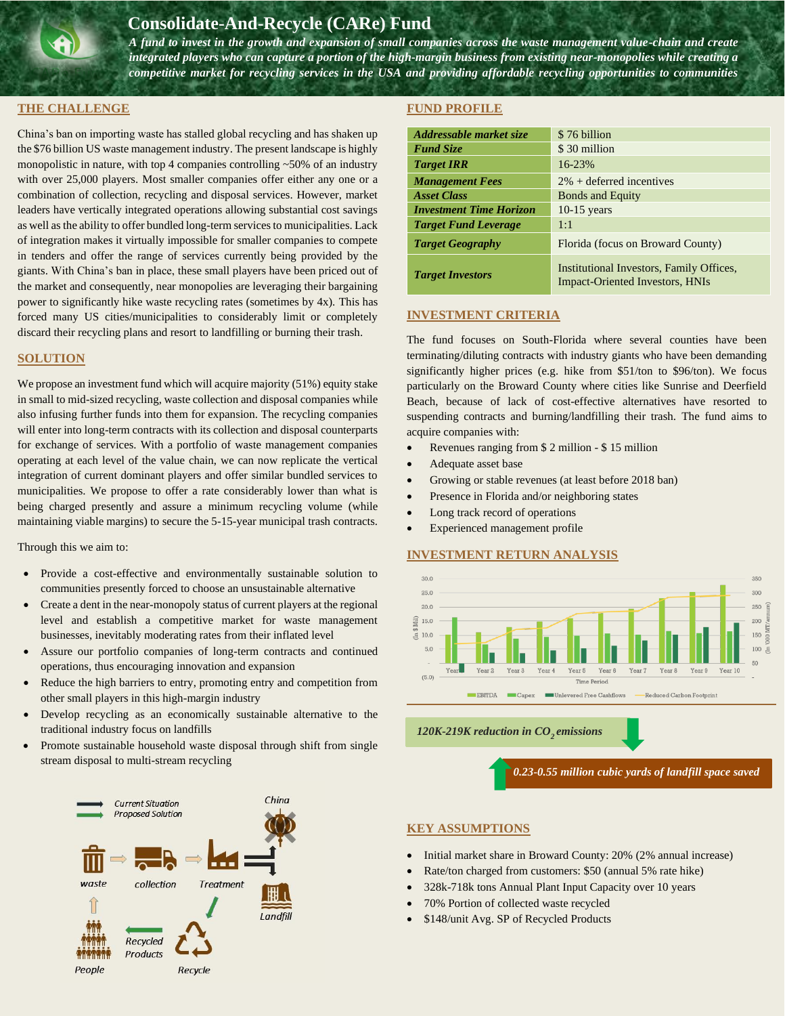# **Consolidate-And-Recycle (CARe) Fund**

*A fund to invest in the growth and expansion of small companies across the waste management value-chain and create integrated players who can capture a portion of the high-margin business from existing near-monopolies while creating a competitive market for recycling services in the USA and providing affordable recycling opportunities to communities* 

#### **THE CHALLENGE**

China's ban on importing waste has stalled global recycling and has shaken up the \$76 billion US waste management industry. The present landscape is highly monopolistic in nature, with top 4 companies controlling  $\sim$  50% of an industry with over 25,000 players. Most smaller companies offer either any one or a combination of collection, recycling and disposal services. However, market leaders have vertically integrated operations allowing substantial cost savings as well as the ability to offer bundled long-term services to municipalities. Lack of integration makes it virtually impossible for smaller companies to compete in tenders and offer the range of services currently being provided by the giants. With China's ban in place, these small players have been priced out of the market and consequently, near monopolies are leveraging their bargaining power to significantly hike waste recycling rates (sometimes by 4x). This has forced many US cities/municipalities to considerably limit or completely discard their recycling plans and resort to landfilling or burning their trash.

*across the country.*

### **SOLUTION**

We propose an investment fund which will acquire majority (51%) equity stake in small to mid-sized recycling, waste collection and disposal companies while also infusing further funds into them for expansion. The recycling companies will enter into long-term contracts with its collection and disposal counterparts for exchange of services. With a portfolio of waste management companies operating at each level of the value chain, we can now replicate the vertical integration of current dominant players and offer similar bundled services to municipalities. We propose to offer a rate considerably lower than what is being charged presently and assure a minimum recycling volume (while maintaining viable margins) to secure the 5-15-year municipal trash contracts.

Through this we aim to:

- Provide a cost-effective and environmentally sustainable solution to communities presently forced to choose an unsustainable alternative
- Create a dent in the near-monopoly status of current players at the regional level and establish a competitive market for waste management businesses, inevitably moderating rates from their inflated level
- Assure our portfolio companies of long-term contracts and continued operations, thus encouraging innovation and expansion
- Reduce the high barriers to entry, promoting entry and competition from other small players in this high-margin industry
- Develop recycling as an economically sustainable alternative to the traditional industry focus on landfills
- Promote sustainable household waste disposal through shift from single stream disposal to multi-stream recycling

#### **FUND PROFILE**

| Addressable market size        | \$76 billion                                                                       |  |
|--------------------------------|------------------------------------------------------------------------------------|--|
| <b>Fund Size</b>               | \$30 million                                                                       |  |
| <b>Target IRR</b>              | 16-23%                                                                             |  |
| <b>Management Fees</b>         | $2\%$ + deferred incentives                                                        |  |
| <b>Asset Class</b>             | <b>Bonds and Equity</b>                                                            |  |
| <b>Investment Time Horizon</b> | $10-15$ years                                                                      |  |
| <b>Target Fund Leverage</b>    | 1:1                                                                                |  |
| <b>Target Geography</b>        | Florida (focus on Broward County)                                                  |  |
| <b>Target Investors</b>        | Institutional Investors, Family Offices,<br><b>Impact-Oriented Investors, HNIs</b> |  |

### **INVESTMENT CRITERIA**

The fund focuses on South-Florida where several counties have been terminating/diluting contracts with industry giants who have been demanding significantly higher prices (e.g. hike from \$51/ton to \$96/ton). We focus particularly on the Broward County where cities like Sunrise and Deerfield Beach, because of lack of cost-effective alternatives have resorted to suspending contracts and burning/landfilling their trash. The fund aims to acquire companies with:

- Revenues ranging from \$ 2 million \$ 15 million
- Adequate asset base
- Growing or stable revenues (at least before 2018 ban)
- Presence in Florida and/or neighboring states
- Long track record of operations
- Experienced management profile

### **INVESTMENT RETURN ANALYSIS**



*0.23-0.55 million cubic yards of landfill space saved* 



## **KEY ASSUMPTIONS**

- Initial market share in Broward County: 20% (2% annual increase)
- Rate/ton charged from customers: \$50 (annual 5% rate hike)
- 328k-718k tons Annual Plant Input Capacity over 10 years
- 70% Portion of collected waste recycled
- \$148/unit Avg. SP of Recycled Products